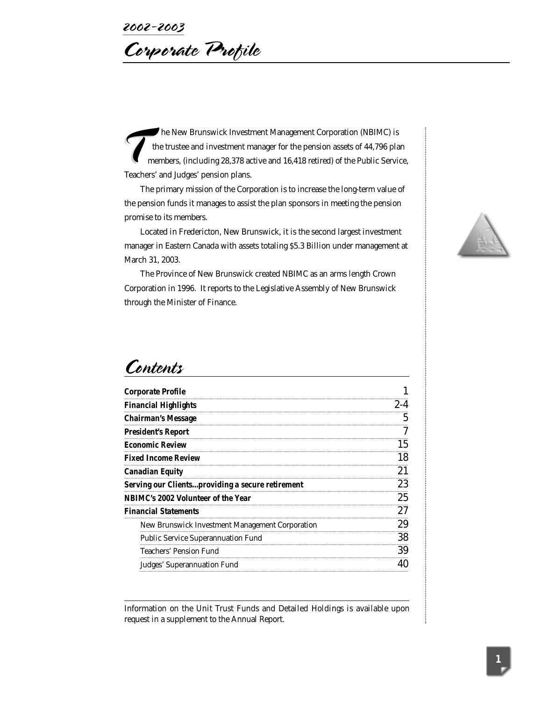Corporate Profile

The New Brunswick Investment Management Corporation (NBIMC) is<br>the trustee and investment manager for the pension assets of 44,796 plai<br>members, (including 28,378 active and 16,418 retired) of the Public Servic<br>Teachers' a the trustee and investment manager for the pension assets of 44,796 plan members, (including 28,378 active and 16,418 retired) of the Public Service, The trustee and investment m<br>
members, (including 28,378 ac<br>
Teachers' and Judges' pension plans.

The primary mission of the Corporation is to increase the long-term value of the pension funds it manages to assist the plan sponsors in meeting the pension promise to its members.

Located in Fredericton, New Brunswick, it is the second largest investment manager in Eastern Canada with assets totaling \$5.3 Billion under management at March 31, 2003.

The Province of New Brunswick created NBIMC as an arms length Crown Corporation in 1996. It reports to the Legislative Assembly of New Brunswick through the Minister of Finance.



# Contents

| <b>Corporate Profile</b>                                |    |
|---------------------------------------------------------|----|
| <b>Financial Highlights</b>                             |    |
| Chairman's Message                                      |    |
| President's Report                                      |    |
| Economic Review                                         |    |
| Fixed Income Review                                     | 18 |
| Canadian Equity                                         |    |
| <b>Serving our Clientsproviding a secure retirement</b> | 23 |
| NBIMC's 2002 Volunteer of the Year                      | 25 |
| <b>Financial Statements</b>                             |    |
| New Brunswick Investment Management Corporation         | 29 |
| <b>Public Service Superannuation Fund</b>               | 38 |
| <b>Teachers' Pension Fund</b>                           | 39 |
| Judges' Superannuation Fund                             |    |

Information on the Unit Trust Funds and Detailed Holdings is available upon request in a supplement to the Annual Report.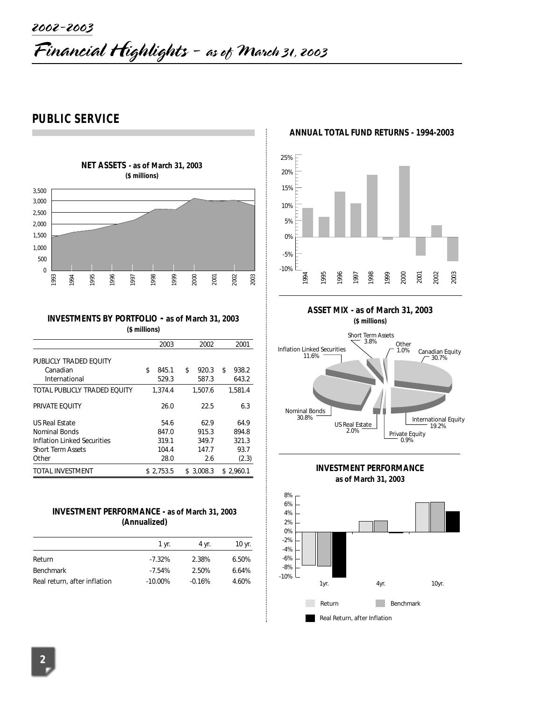# **PUBLIC SERVICE**



#### **INVESTMENTS BY PORTFOLIO - as of March 31, 2003 (\$ millions)**

|                              | 2003        | 2002        | 2001        |
|------------------------------|-------------|-------------|-------------|
| PUBLICLY TRADED EOUITY       |             |             |             |
| Canadian                     | \$<br>845.1 | \$<br>920.3 | \$<br>938.2 |
| International                | 529.3       | 587.3       | 643.2       |
| TOTAL PUBLICLY TRADED EOUITY | 1,374.4     | 1,507.6     | 1,581.4     |
| PRIVATE EQUITY               | 26.0        | 22.5        | 6.3         |
| <b>US Real Estate</b>        | 54.6        | 62.9        | 64.9        |
| Nominal Bonds                | 847.0       | 915.3       | 894.8       |
| Inflation Linked Securities  | 319.1       | 349.7       | 321.3       |
| <b>Short Term Assets</b>     | 104.4       | 147.7       | 93.7        |
| Other                        | 28.0        | 2.6         | (2.3)       |
| TOTAL INVESTMENT             | \$2.753.5   | \$3.008.3   | \$2.960.1   |

#### **INVESTMENT PERFORMANCE - as of March 31, 2003 (Annualized)**

|                              | 1 yr.      | 4 vr.    | 10 yr. |
|------------------------------|------------|----------|--------|
| Return                       | $-7.32%$   | 2.38%    | 6.50%  |
| Benchmark                    | $-7.54%$   | 2.50%    | 6.64%  |
| Real return, after inflation | $-10.00\%$ | $-0.16%$ | 4.60%  |

#### **ANNUAL TOTAL FUND RETURNS - 1994-2003**







**INVESTMENT PERFORMANCE as of March 31, 2003**

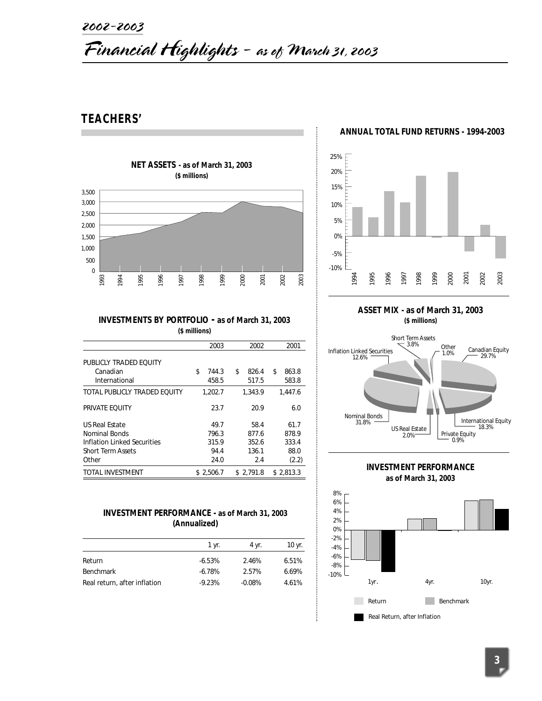# 2002-2003

# Financial Highlights - as of March 31, 2003

# **TEACHERS'**



#### **ANNUAL TOTAL FUND RETURNS - 1994-2003**



#### **INVESTMENTS BY PORTFOLIO - as of March 31, 2003 (\$ millions)**

|                              | 2003        | 2002        | 2001        |
|------------------------------|-------------|-------------|-------------|
| PUBLICLY TRADED EQUITY       |             |             |             |
| Canadian                     | \$<br>744.3 | \$<br>826.4 | \$<br>863.8 |
| International                | 458.5       | 517.5       | 583.8       |
| TOTAL PUBLICLY TRADED EOUITY | 1,202.7     | 1.343.9     | 1.447.6     |
| PRIVATE EQUITY               | 23.7        | 20.9        | 6.0         |
| <b>US Real Estate</b>        | 49.7        | 58.4        | 61.7        |
| Nominal Bonds                | 796.3       | 877.6       | 878.9       |
| Inflation Linked Securities  | 315.9       | 352.6       | 333.4       |
| <b>Short Term Assets</b>     | 94.4        | 136.1       | 88.0        |
| Other                        | 24.0        | 2.4         | (2.2)       |
| <b>TOTAL INVESTMENT</b>      | \$2.506.7   | \$2.791.8   | \$2.813.3   |

#### **INVESTMENT PERFORMANCE - as of March 31, 2003 (Annualized)**

| 1 vr.     | 4 vr.    | 10 yr. |
|-----------|----------|--------|
| $-6.53%$  | 2.46%    | 6.51%  |
| $-6.78\%$ | 2.57%    | 6.69%  |
| $-9.23%$  | $-0.08%$ | 4.61%  |
|           |          |        |

**ASSET MIX - as of March 31, 2003 (\$ millions)**



**INVESTMENT PERFORMANCE as of March 31, 2003**

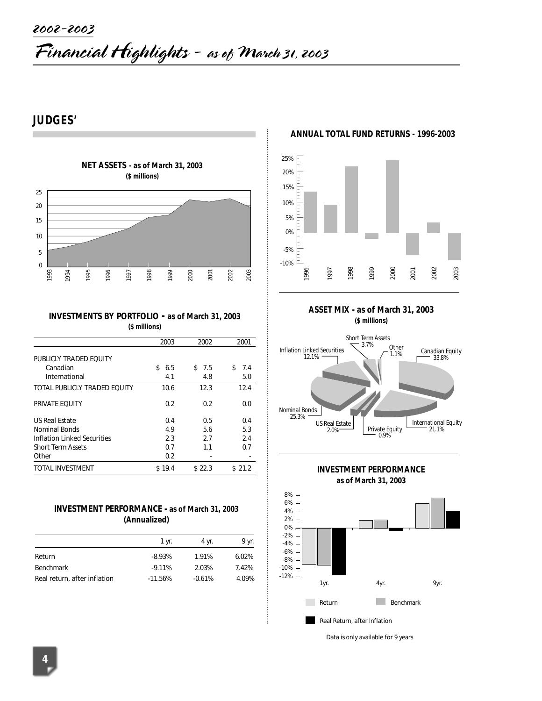# **JUDGES'**



#### **INVESTMENTS BY PORTFOLIO - as of March 31, 2003 (\$ millions)**

| 1993                         | 1995<br>1994 | 1996<br>1997                                           | 1998          | 1999   | 2000 | 2001   | 2002 | 2003   |
|------------------------------|--------------|--------------------------------------------------------|---------------|--------|------|--------|------|--------|
|                              |              |                                                        |               |        |      |        |      |        |
|                              |              | <b>INVESTMENTS BY PORTFOLIO - as of March 31, 2003</b> | (\$ millions) |        |      |        |      |        |
|                              |              |                                                        |               | 2003   |      | 2002   |      | 2001   |
| PUBLICLY TRADED EQUITY       |              |                                                        |               |        |      |        |      |        |
| Canadian                     |              |                                                        | \$            | 6.5    | \$   | 7.5    | \$   | 7.4    |
| International                |              |                                                        |               | 4.1    |      | 4.8    |      | 5.0    |
| TOTAL PUBLICLY TRADED EOUITY |              |                                                        |               | 10.6   |      | 12.3   |      | 12.4   |
| PRIVATE EQUITY               |              |                                                        |               | 0.2    |      | 0.2    |      | 0.0    |
| <b>US Real Estate</b>        |              |                                                        |               | 0.4    |      | 0.5    |      | 0.4    |
| <b>Nominal Bonds</b>         |              |                                                        |               | 4.9    |      | 5.6    |      | 5.3    |
| Inflation Linked Securities  |              |                                                        |               | 2.3    |      | 2.7    |      | 2.4    |
| <b>Short Term Assets</b>     |              |                                                        |               | 0.7    |      | 1.1    |      | 0.7    |
| Other                        |              |                                                        |               | 0.2    |      |        |      |        |
| TOTAL INVESTMENT             |              |                                                        |               | \$19.4 |      | \$22.3 |      | \$21.2 |

#### **INVESTMENT PERFORMANCE - as of March 31, 2003 (Annualized)**

|                              | 1 yr.     | 4 yr.    | 9 yr. |
|------------------------------|-----------|----------|-------|
| Return                       | $-8.93%$  | 1.91%    | 6.02% |
| <b>Benchmark</b>             | $-9.11%$  | 2.03%    | 7.42% |
| Real return, after inflation | $-11.56%$ | $-0.61%$ | 4.09% |

**ANNUAL TOTAL FUND RETURNS - 1996-2003**



**ASSET MIX - as of March 31, 2003 (\$ millions)**







*Data is only available for 9 years*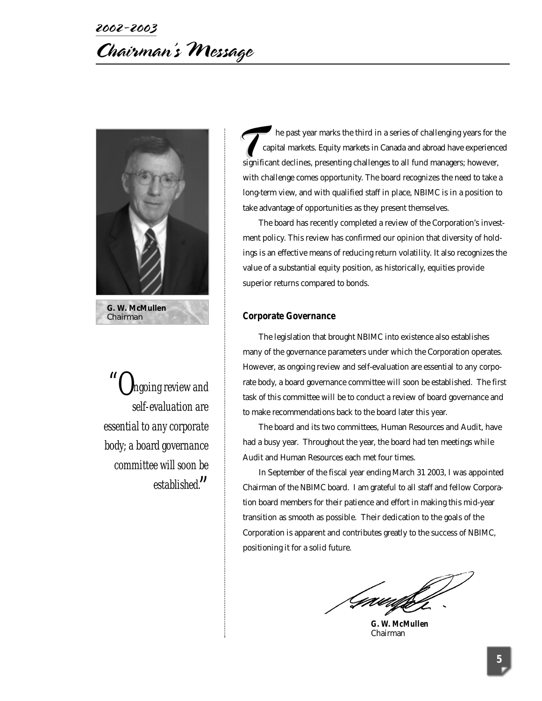# 2002-2003 Chairman's Message



*"Ongoing review and self-evaluation are essential to any corporate body; a board governance committee will soon be established. "*

he past year marks the third in a series of challenging years for the capital markets. Equity markets in Canada and abroad have experienced significant declines, presenting challenges to all fund managers; however, with challenge comes opportunity. The board recognizes the need to take a long-term view, and with qualified staff in place, NBIMC is in a position to take advantage of opportunities as they present themselves.

The board has recently completed a review of the Corporation's investment policy. This review has confirmed our opinion that diversity of holdings is an effective means of reducing return volatility. It also recognizes the value of a substantial equity position, as historically, equities provide superior returns compared to bonds.

#### **Corporate Governance**

The legislation that brought NBIMC into existence also establishes many of the governance parameters under which the Corporation operates. However, as ongoing review and self-evaluation are essential to any corporate body, a board governance committee will soon be established. The first task of this committee will be to conduct a review of board governance and to make recommendations back to the board later this year.

The board and its two committees, Human Resources and Audit, have had a busy year. Throughout the year, the board had ten meetings while Audit and Human Resources each met four times.

In September of the fiscal year ending March 31 2003, I was appointed Chairman of the NBIMC board. I am grateful to all staff and fellow Corporation board members for their patience and effort in making this mid-year transition as smooth as possible. Their dedication to the goals of the Corporation is apparent and contributes greatly to the success of NBIMC, positioning it for a solid future.

Gaudh

**G. W. McMullen** Chairman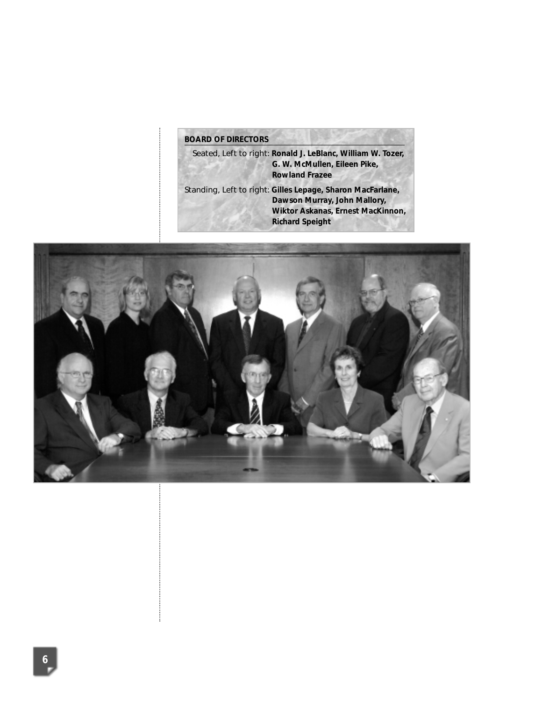# **BOARD OF DIRECTORS**

Seated, Left to right: **Ronald J. LeBlanc, William W. Tozer, G. W. McMullen, Eileen Pike, Rowland Frazee** Standing, Left to right: **Gilles Lepage, Sharon MacFarlane, Dawson Murray, John Mallory, Wiktor Askanas, Ernest MacKinnon, Richard Speight**

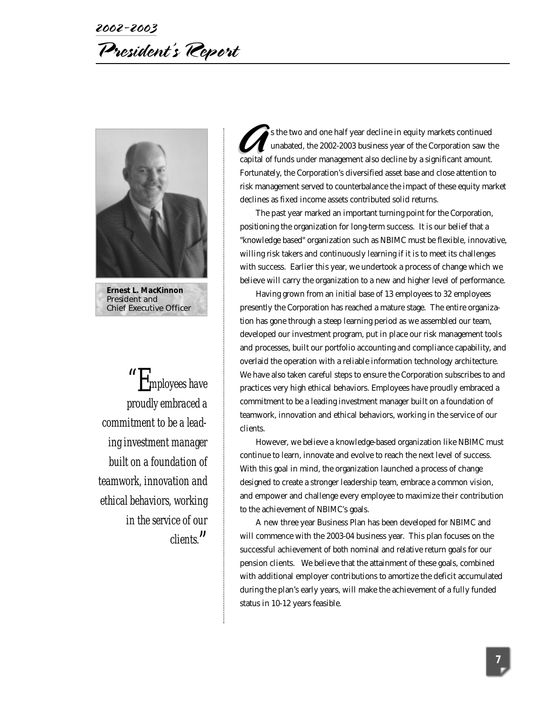# 2002-2003 President's Report



**Ernest L. MacKinnon** President and Chief Executive Officer

*"Employees have proudly embraced a commitment to be a leading investment manager built on a foundation of teamwork, innovation and ethical behaviors, working in the service of our clients. "*

s the two and one half year decline in equity markets continued unabated, the 2002-2003 business year of the Corporation saw the Sthe two and one half year decline in equity markets continued<br>unabated, the 2002-2003 business year of the Corporation saw the<br>capital of funds under management also decline by a significant amount. Fortunately, the Corporation's diversified asset base and close attention to risk management served to counterbalance the impact of these equity market declines as fixed income assets contributed solid returns.

The past year marked an important turning point for the Corporation, positioning the organization for long-term success. It is our belief that a "knowledge based" organization such as NBIMC must be flexible, innovative, willing risk takers and continuously learning if it is to meet its challenges with success. Earlier this year, we undertook a process of change which we believe will carry the organization to a new and higher level of performance.

Having grown from an initial base of 13 employees to 32 employees presently the Corporation has reached a mature stage. The entire organization has gone through a steep learning period as we assembled our team, developed our investment program, put in place our risk management tools and processes, built our portfolio accounting and compliance capability, and overlaid the operation with a reliable information technology architecture. We have also taken careful steps to ensure the Corporation subscribes to and practices very high ethical behaviors. Employees have proudly embraced a commitment to be a leading investment manager built on a foundation of teamwork, innovation and ethical behaviors, working in the service of our clients.

However, we believe a knowledge-based organization like NBIMC must continue to learn, innovate and evolve to reach the next level of success. With this goal in mind, the organization launched a process of change designed to create a stronger leadership team, embrace a common vision, and empower and challenge every employee to maximize their contribution to the achievement of NBIMC's goals.

A new three year Business Plan has been developed for NBIMC and will commence with the 2003-04 business year. This plan focuses on the successful achievement of both nominal and relative return goals for our pension clients. We believe that the attainment of these goals, combined with additional employer contributions to amortize the deficit accumulated during the plan's early years, will make the achievement of a fully funded status in 10-12 years feasible.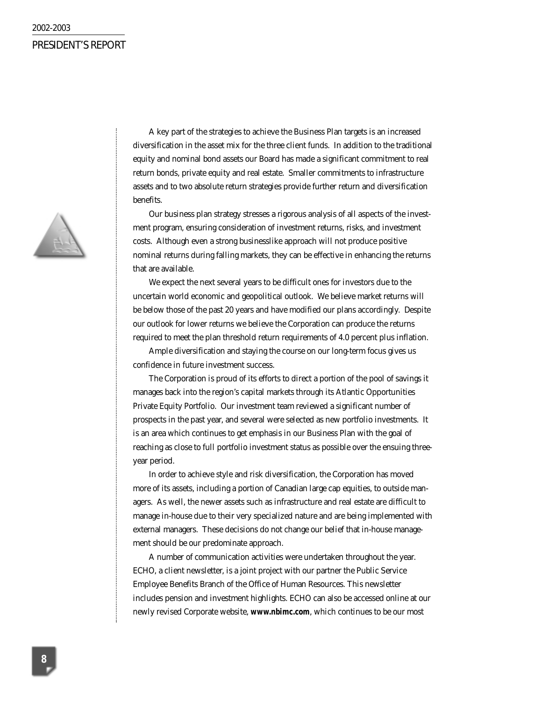#### 2002-2003

# PRESIDENT'S REPORT



A key part of the strategies to achieve the Business Plan targets is an increased diversification in the asset mix for the three client funds. In addition to the traditional equity and nominal bond assets our Board has made a significant commitment to real return bonds, private equity and real estate. Smaller commitments to infrastructure assets and to two absolute return strategies provide further return and diversification benefits.

Our business plan strategy stresses a rigorous analysis of all aspects of the investment program, ensuring consideration of investment returns, risks, and investment costs. Although even a strong businesslike approach will not produce positive nominal returns during falling markets, they can be effective in enhancing the returns that are available.

We expect the next several years to be difficult ones for investors due to the uncertain world economic and geopolitical outlook. We believe market returns will be below those of the past 20 years and have modified our plans accordingly. Despite our outlook for lower returns we believe the Corporation can produce the returns required to meet the plan threshold return requirements of 4.0 percent plus inflation.

Ample diversification and staying the course on our long-term focus gives us confidence in future investment success.

The Corporation is proud of its efforts to direct a portion of the pool of savings it manages back into the region's capital markets through its Atlantic Opportunities Private Equity Portfolio. Our investment team reviewed a significant number of prospects in the past year, and several were selected as new portfolio investments. It is an area which continues to get emphasis in our Business Plan with the goal of reaching as close to full portfolio investment status as possible over the ensuing threeyear period.

In order to achieve style and risk diversification, the Corporation has moved more of its assets, including a portion of Canadian large cap equities, to outside managers. As well, the newer assets such as infrastructure and real estate are difficult to manage in-house due to their very specialized nature and are being implemented with external managers. These decisions do not change our belief that in-house management should be our predominate approach.

A number of communication activities were undertaken throughout the year. ECHO, a client newsletter, is a joint project with our partner the Public Service Employee Benefits Branch of the Office of Human Resources. This newsletter includes pension and investment highlights. ECHO can also be accessed online at our newly revised Corporate website, **www.nbimc.com**, which continues to be our most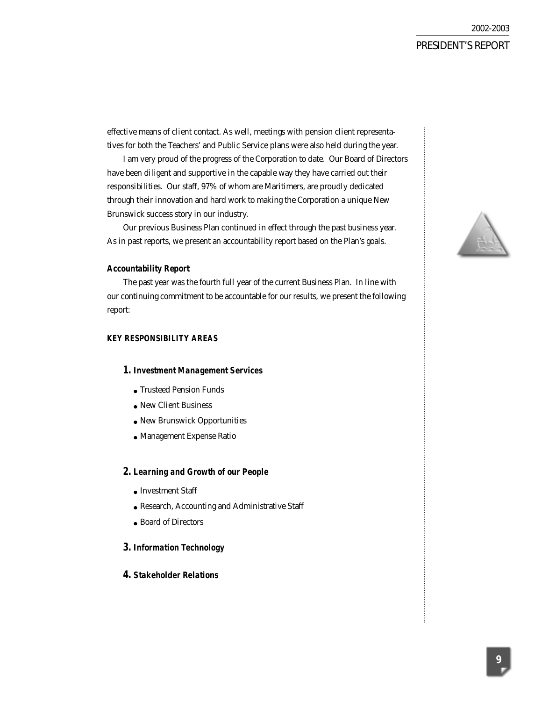effective means of client contact. As well, meetings with pension client representatives for both the Teachers' and Public Service plans were also held during the year.

I am very proud of the progress of the Corporation to date. Our Board of Directors have been diligent and supportive in the capable way they have carried out their responsibilities. Our staff, 97% of whom are Maritimers, are proudly dedicated through their innovation and hard work to making the Corporation a unique New Brunswick success story in our industry.

Our previous Business Plan continued in effect through the past business year. As in past reports, we present an accountability report based on the Plan's goals.

#### **Accountability Report**

The past year was the fourth full year of the current Business Plan. In line with our continuing commitment to be accountable for our results, we present the following report:

#### **KEY RESPONSIBILITY AREAS**

#### *1. Investment Management Services*

- Trusteed Pension Funds
- New Client Business
- New Brunswick Opportunities
- Management Expense Ratio

#### *2. Learning and Growth of our People*

- Investment Staff
- Research, Accounting and Administrative Staff
- Board of Directors

#### *3. Information Technology*

#### *4. Stakeholder Relations*

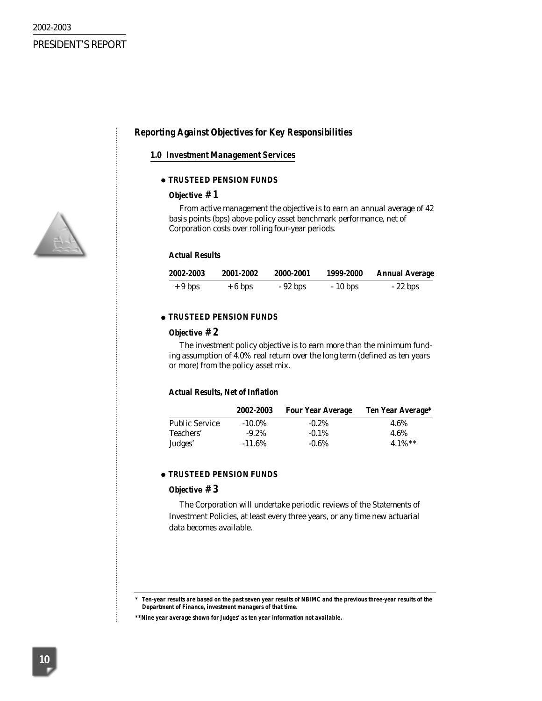#### **Reporting Against Objectives for Key Responsibilities**

#### *1.0 Investment Management Services*

#### ● *TRUSTEED PENSION FUNDS*

#### **Objective # 1**

*From active management the objective is to earn an annual average of 42 basis points (bps) above policy asset benchmark performance, net of Corporation costs over rolling four-year periods.*

#### **Actual Results**

| 2002-2003 | 2001-2002 | 2000-2001 | 1999-2000 | <b>Annual Average</b> |
|-----------|-----------|-----------|-----------|-----------------------|
| $+9$ bps  | $+6$ bps  | $-92$ bps | $-10$ bps | $-22$ bps             |

#### ● *TRUSTEED PENSION FUNDS*

#### **Objective # 2**

*The investment policy objective is to earn more than the minimum funding assumption of 4.0% real return over the long term (defined as ten years or more) from the policy asset mix.* 

#### **Actual Results, Net of Inflation**

|                       | 2002-2003 | <b>Four Year Average</b> | <b>Ten Year Average*</b> |
|-----------------------|-----------|--------------------------|--------------------------|
| <b>Public Service</b> | $-10.0\%$ | $-0.2\%$                 | 4.6%                     |
| Teachers'             | $-9.2\%$  | $-0.1\%$                 | 4.6%                     |
| Judges'               | $-11.6%$  | $-0.6\%$                 | 4.1%**                   |

#### ● *TRUSTEED PENSION FUNDS*

#### **Objective # 3**

*The Corporation will undertake periodic reviews of the Statements of Investment Policies, at least every three years, or any time new actuarial data becomes available.*



*<sup>\*</sup> Ten-year results are based on the past seven year results of NBIMC and the previous three-year results of the Department of Finance, investment managers of that time.*

*<sup>\*\*</sup>Nine year average shown for Judges' as ten year information not available.*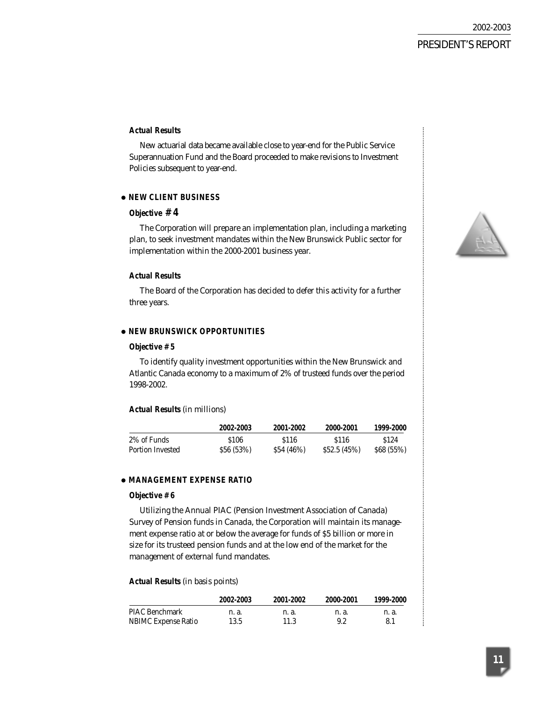#### **Actual Results**

New actuarial data became available close to year-end for the Public Service Superannuation Fund and the Board proceeded to make revisions to Investment Policies subsequent to year-end.

#### ● *NEW CLIENT BUSINESS*

#### **Objective # 4**

*The Corporation will prepare an implementation plan, including a marketing plan, to seek investment mandates within the New Brunswick Public sector for implementation within the 2000-2001 business year.*

#### **Actual Results**

The Board of the Corporation has decided to defer this activity for a further three years.

#### ● *NEW BRUNSWICK OPPORTUNITIES*

#### **Objective # 5**

*To identify quality investment opportunities within the New Brunswick and Atlantic Canada economy to a maximum of 2% of trusteed funds over the period 1998-2002.*

#### **Actual Results** (in millions)

|                  | 2002 2003  | 2001-2002  | 2000-2001        | 1999-2000        |
|------------------|------------|------------|------------------|------------------|
| 2% of Funds      | \$106      | S116       | S <sub>116</sub> | S <sub>124</sub> |
| Portion Invested | \$56 (53%) | \$54 (46%) | \$52.5(45%)      | \$68(55%)        |

#### ● *MANAGEMENT EXPENSE RATIO*

#### **Objective # 6**

*Utilizing the Annual PIAC (Pension Investment Association of Canada) Survey of Pension funds in Canada, the Corporation will maintain its management expense ratio at or below the average for funds of \$5 billion or more in size for its trusteed pension funds and at the low end of the market for the management of external fund mandates.*

#### **Actual Results** (in basis points)

|                            | 2002-2003 | 2001-2002 | 2000-2001 | 1999-2000 |
|----------------------------|-----------|-----------|-----------|-----------|
| PIAC Benchmark             | n. a.     | n. a.     | n. a.     | n. a.     |
| <b>NBIMC Expense Ratio</b> | 13.5      | 11.3      | 9.2       |           |

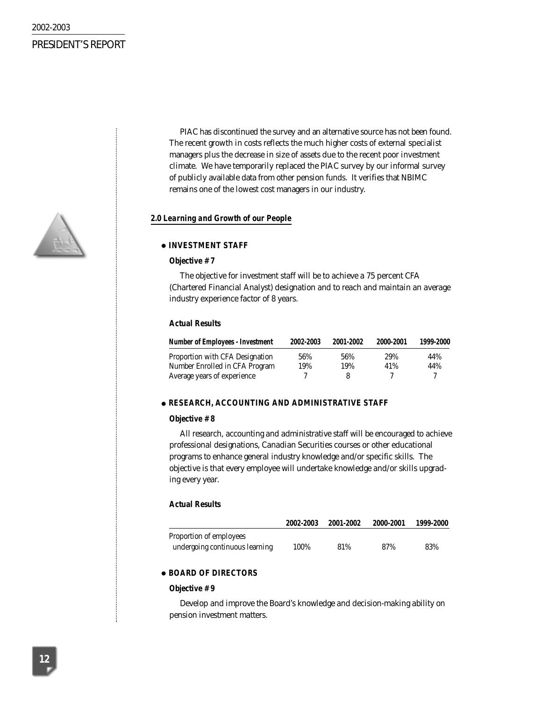PIAC has discontinued the survey and an alternative source has not been found. The recent growth in costs reflects the much higher costs of external specialist managers plus the decrease in size of assets due to the recent poor investment climate. We have temporarily replaced the PIAC survey by our informal survey of publicly available data from other pension funds. It verifies that NBIMC remains one of the lowest cost managers in our industry.

#### *2.0 Learning and Growth of our People*

#### ● *INVESTMENT STAFF*

#### **Objective # 7**

*The objective for investment staff will be to achieve a 75 percent CFA (Chartered Financial Analyst) designation and to reach and maintain an average industry experience factor of 8 years.*

#### **Actual Results**

| <b>Number of Employees - Investment</b> | 2002-2003 | 2001-2002 | 2000-2001 | 1999-2000 |
|-----------------------------------------|-----------|-----------|-----------|-----------|
| Proportion with CFA Designation         | 56%       | 56%       | 29%       | 44%       |
| Number Enrolled in CFA Program          | 19%       | 19%       | 41%       | 44%       |
| Average years of experience             |           | x         |           |           |

#### ● *RESEARCH, ACCOUNTING AND ADMINISTRATIVE STAFF*

#### **Objective # 8**

*All research, accounting and administrative staff will be encouraged to achieve professional designations, Canadian Securities courses or other educational programs to enhance general industry knowledge and/or specific skills. The objective is that every employee will undertake knowledge and/or skills upgrading every year.*

#### **Actual Results**

|                                | 2002 2003 | 2001-2002 | 2000-2001 | 1999-2000 |
|--------------------------------|-----------|-----------|-----------|-----------|
| Proportion of employees        |           |           |           |           |
| undergoing continuous learning | 100%      | 81%       | 87%       | 83%       |

#### ● *BOARD OF DIRECTORS*

#### **Objective # 9**

*Develop and improve the Board's knowledge and decision-making ability on pension investment matters.*

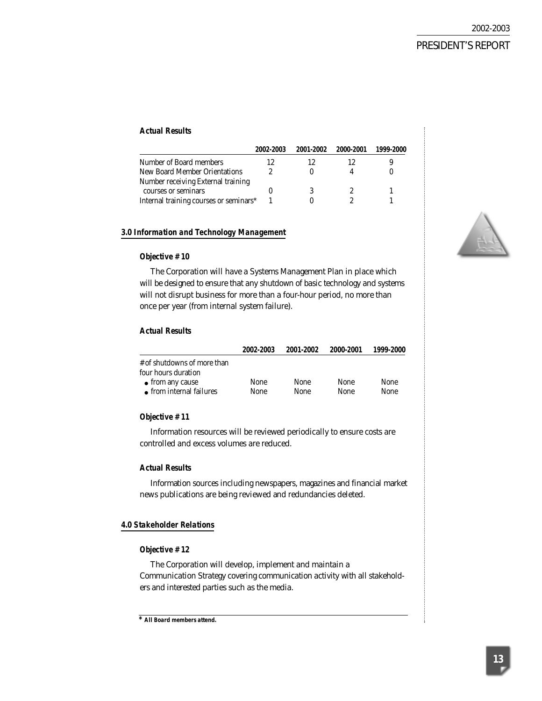#### **Actual Results**

|                                        | 2002-2003 | 2001-2002 | 2000-2001 | 1999-2000 |
|----------------------------------------|-----------|-----------|-----------|-----------|
| Number of Board members                | 12        | 12        |           |           |
| New Board Member Orientations          |           |           |           |           |
| Number receiving External training     |           |           |           |           |
| courses or seminars                    |           |           |           |           |
| Internal training courses or seminars* |           |           |           |           |

#### *3.0 Information and Technology Management*

#### **Objective # 10**

*The Corporation will have a Systems Management Plan in place which will be designed to ensure that any shutdown of basic technology and systems will not disrupt business for more than a four-hour period, no more than once per year (from internal system failure).*

#### **Actual Results**

|                             | 2002-2003 | 2001-2002 | 2000-2001   | 1999-2000 |
|-----------------------------|-----------|-----------|-------------|-----------|
| # of shutdowns of more than |           |           |             |           |
| four hours duration         |           |           |             |           |
| $\bullet$ from any cause    | None      | None      | None        | None      |
| • from internal failures    | None      | None      | <b>None</b> | None      |

#### **Objective # 11**

*Information resources will be reviewed periodically to ensure costs are controlled and excess volumes are reduced.*

#### **Actual Results**

Information sources including newspapers, magazines and financial market news publications are being reviewed and redundancies deleted.

#### *4.0 Stakeholder Relations*

#### **Objective # 12**

*The Corporation will develop, implement and maintain a Communication Strategy covering communication activity with all stakeholders and interested parties such as the media.*



*<sup>\*</sup> All Board members attend.*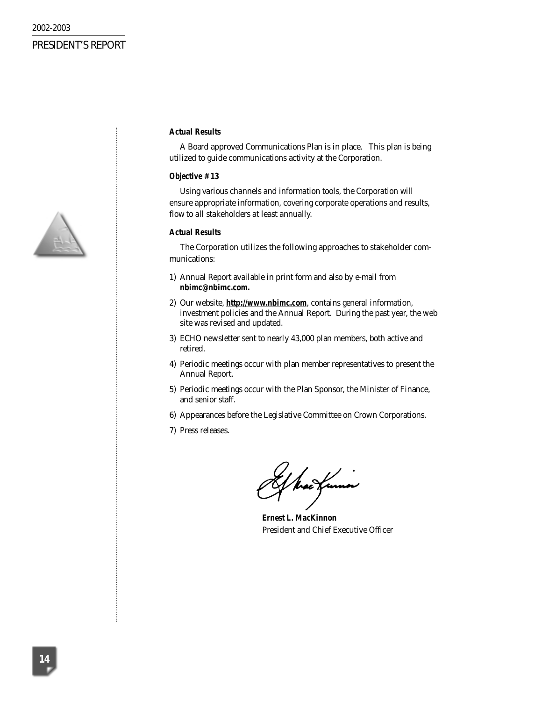

#### **Actual Results**

A Board approved Communications Plan is in place. This plan is being utilized to guide communications activity at the Corporation.

#### **Objective # 13**

*Using various channels and information tools, the Corporation will ensure appropriate information, covering corporate operations and results, flow to all stakeholders at least annually.*

#### **Actual Results**

The Corporation utilizes the following approaches to stakeholder communications:

- 1) Annual Report available in print form and also by e-mail from *nbimc@nbimc.com.*
- 2) Our website, *http://www.nbimc.com*, contains general information, investment policies and the Annual Report. During the past year, the web site was revised and updated.
- 3) ECHO newsletter sent to nearly 43,000 plan members, both active and retired.
- 4) Periodic meetings occur with plan member representatives to present the Annual Report.
- 5) Periodic meetings occur with the Plan Sponsor, the Minister of Finance, and senior staff.
- 6) Appearances before the Legislative Committee on Crown Corporations.
- 7) Press releases.

hac funna

**Ernest L. MacKinnon** President and Chief Executive Officer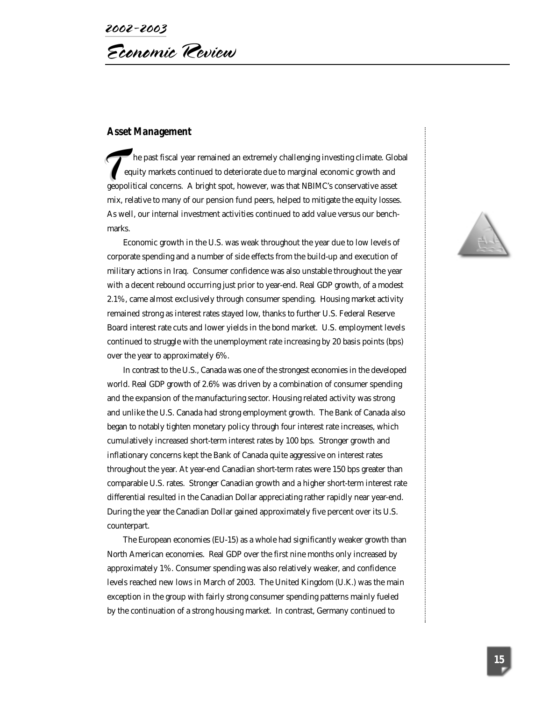#### **Asset Management**

he past fiscal year remained an extremely challenging investing climate. Global equity markets continued to deteriorate due to marginal economic growth and equity markets continued to deteriorate due to marginal economic growth and geopolitical concerns. A bright spot, however, was that NBIMC's conservative asset mix, relative to many of our pension fund peers, helped to mitigate the equity losses. As well, our internal investment activities continued to add value versus our benchmarks.

Economic growth in the U.S. was weak throughout the year due to low levels of corporate spending and a number of side effects from the build-up and execution of military actions in Iraq. Consumer confidence was also unstable throughout the year with a decent rebound occurring just prior to year-end. Real GDP growth, of a modest 2.1%, came almost exclusively through consumer spending. Housing market activity remained strong as interest rates stayed low, thanks to further U.S. Federal Reserve Board interest rate cuts and lower yields in the bond market. U.S. employment levels continued to struggle with the unemployment rate increasing by 20 basis points (bps) over the year to approximately 6%.

In contrast to the U.S., Canada was one of the strongest economies in the developed world. Real GDP growth of 2.6% was driven by a combination of consumer spending and the expansion of the manufacturing sector. Housing related activity was strong and unlike the U.S. Canada had strong employment growth. The Bank of Canada also began to notably tighten monetary policy through four interest rate increases, which cumulatively increased short-term interest rates by 100 bps. Stronger growth and inflationary concerns kept the Bank of Canada quite aggressive on interest rates throughout the year. At year-end Canadian short-term rates were 150 bps greater than comparable U.S. rates. Stronger Canadian growth and a higher short-term interest rate differential resulted in the Canadian Dollar appreciating rather rapidly near year-end. During the year the Canadian Dollar gained approximately five percent over its U.S. counterpart.

The European economies (EU-15) as a whole had significantly weaker growth than North American economies. Real GDP over the first nine months only increased by approximately 1%. Consumer spending was also relatively weaker, and confidence levels reached new lows in March of 2003. The United Kingdom (U.K.) was the main exception in the group with fairly strong consumer spending patterns mainly fueled by the continuation of a strong housing market. In contrast, Germany continued to

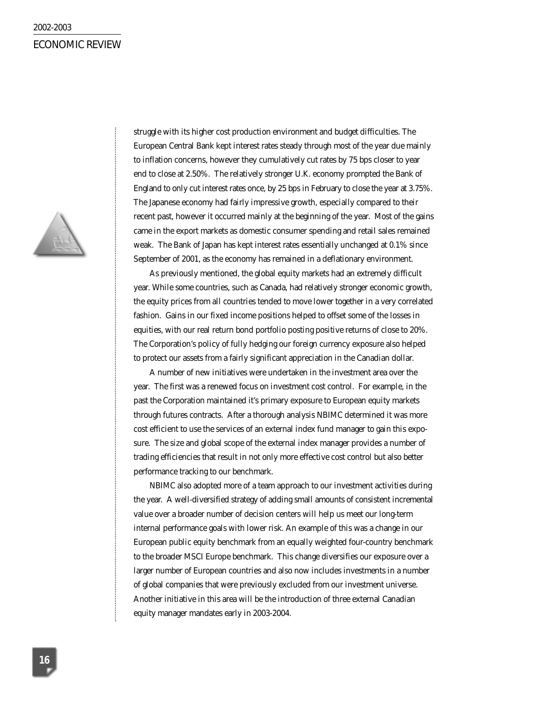#### ECONOMIC REVIEW



struggle with its higher cost production environment and budget difficulties. The European Central Bank kept interest rates steady through most of the year due mainly to inflation concerns, however they cumulatively cut rates by 75 bps closer to year end to close at 2.50%. The relatively stronger U.K. economy prompted the Bank of England to only cut interest rates once, by 25 bps in February to close the year at 3.75%. The Japanese economy had fairly impressive growth, especially compared to their recent past, however it occurred mainly at the beginning of the year. Most of the gains came in the export markets as domestic consumer spending and retail sales remained weak. The Bank of Japan has kept interest rates essentially unchanged at 0.1% since September of 2001, as the economy has remained in a deflationary environment.

As previously mentioned, the global equity markets had an extremely difficult year. While some countries, such as Canada, had relatively stronger economic growth, the equity prices from all countries tended to move lower together in a very correlated fashion. Gains in our fixed income positions helped to offset some of the losses in equities, with our real return bond portfolio posting positive returns of close to 20%. The Corporation's policy of fully hedging our foreign currency exposure also helped to protect our assets from a fairly significant appreciation in the Canadian dollar.

A number of new initiatives were undertaken in the investment area over the year. The first was a renewed focus on investment cost control. For example, in the past the Corporation maintained it's primary exposure to European equity markets through futures contracts. After a thorough analysis NBIMC determined it was more cost efficient to use the services of an external index fund manager to gain this exposure. The size and global scope of the external index manager provides a number of trading efficiencies that result in not only more effective cost control but also better performance tracking to our benchmark.

NBIMC also adopted more of a team approach to our investment activities during the year. A well-diversified strategy of adding small amounts of consistent incremental value over a broader number of decision centers will help us meet our long-term internal performance goals with lower risk. An example of this was a change in our European public equity benchmark from an equally weighted four-country benchmark to the broader MSCI Europe benchmark. This change diversifies our exposure over a larger number of European countries and also now includes investments in a number of global companies that were previously excluded from our investment universe. Another initiative in this area will be the introduction of three external Canadian equity manager mandates early in 2003-2004.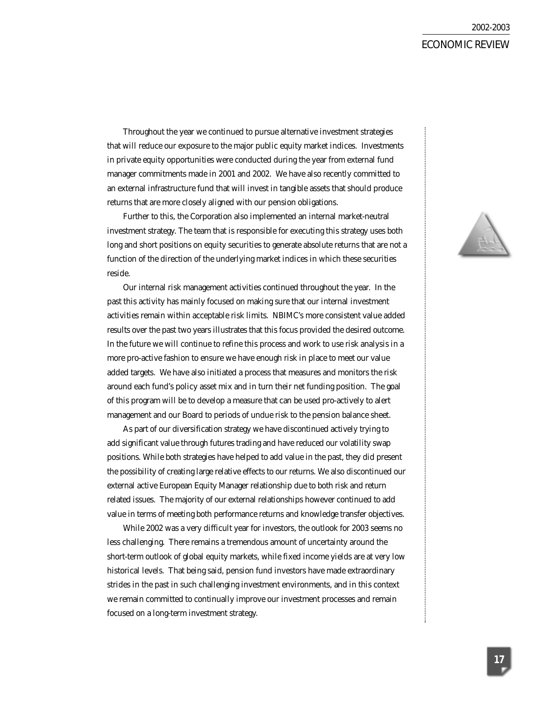# ECONOMIC REVIEW

Throughout the year we continued to pursue alternative investment strategies that will reduce our exposure to the major public equity market indices. Investments in private equity opportunities were conducted during the year from external fund manager commitments made in 2001 and 2002. We have also recently committed to an external infrastructure fund that will invest in tangible assets that should produce returns that are more closely aligned with our pension obligations.

Further to this, the Corporation also implemented an internal market-neutral investment strategy. The team that is responsible for executing this strategy uses both long and short positions on equity securities to generate absolute returns that are not a function of the direction of the underlying market indices in which these securities reside.

Our internal risk management activities continued throughout the year. In the past this activity has mainly focused on making sure that our internal investment activities remain within acceptable risk limits. NBIMC's more consistent value added results over the past two years illustrates that this focus provided the desired outcome. In the future we will continue to refine this process and work to use risk analysis in a more pro-active fashion to ensure we have enough risk in place to meet our value added targets. We have also initiated a process that measures and monitors the risk around each fund's policy asset mix and in turn their net funding position. The goal of this program will be to develop a measure that can be used pro-actively to alert management and our Board to periods of undue risk to the pension balance sheet.

As part of our diversification strategy we have discontinued actively trying to add significant value through futures trading and have reduced our volatility swap positions. While both strategies have helped to add value in the past, they did present the possibility of creating large relative effects to our returns. We also discontinued our external active European Equity Manager relationship due to both risk and return related issues. The majority of our external relationships however continued to add value in terms of meeting both performance returns and knowledge transfer objectives.

While 2002 was a very difficult year for investors, the outlook for 2003 seems no less challenging. There remains a tremendous amount of uncertainty around the short-term outlook of global equity markets, while fixed income yields are at very low historical levels. That being said, pension fund investors have made extraordinary strides in the past in such challenging investment environments, and in this context we remain committed to continually improve our investment processes and remain focused on a long-term investment strategy.

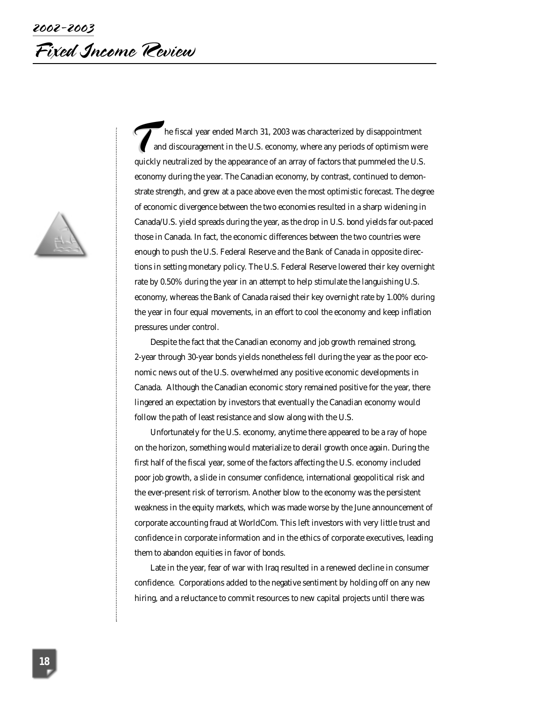

The fiscal year ended March 31, 2003 was characterized by disappointment<br>and discouragement in the U.S. economy, where any periods of optimism wer<br>quickly neutralized by the appearance of an array of factors that pummeled and discouragement in the U.S. economy, where any periods of optimism were quickly neutralized by the appearance of an array of factors that pummeled the U.S. economy during the year. The Canadian economy, by contrast, continued to demonstrate strength, and grew at a pace above even the most optimistic forecast. The degree of economic divergence between the two economies resulted in a sharp widening in Canada/U.S. yield spreads during the year, as the drop in U.S. bond yields far out-paced those in Canada. In fact, the economic differences between the two countries were enough to push the U.S. Federal Reserve and the Bank of Canada in opposite directions in setting monetary policy. The U.S. Federal Reserve lowered their key overnight rate by 0.50% during the year in an attempt to help stimulate the languishing U.S. economy, whereas the Bank of Canada raised their key overnight rate by 1.00% during the year in four equal movements, in an effort to cool the economy and keep inflation pressures under control.

Despite the fact that the Canadian economy and job growth remained strong, 2-year through 30-year bonds yields nonetheless fell during the year as the poor economic news out of the U.S. overwhelmed any positive economic developments in Canada. Although the Canadian economic story remained positive for the year, there lingered an expectation by investors that eventually the Canadian economy would follow the path of least resistance and slow along with the U.S.

Unfortunately for the U.S. economy, anytime there appeared to be a ray of hope on the horizon, something would materialize to derail growth once again. During the first half of the fiscal year, some of the factors affecting the U.S. economy included poor job growth, a slide in consumer confidence, international geopolitical risk and the ever-present risk of terrorism. Another blow to the economy was the persistent weakness in the equity markets, which was made worse by the June announcement of corporate accounting fraud at WorldCom. This left investors with very little trust and confidence in corporate information and in the ethics of corporate executives, leading them to abandon equities in favor of bonds.

Late in the year, fear of war with Iraq resulted in a renewed decline in consumer confidence. Corporations added to the negative sentiment by holding off on any new hiring, and a reluctance to commit resources to new capital projects until there was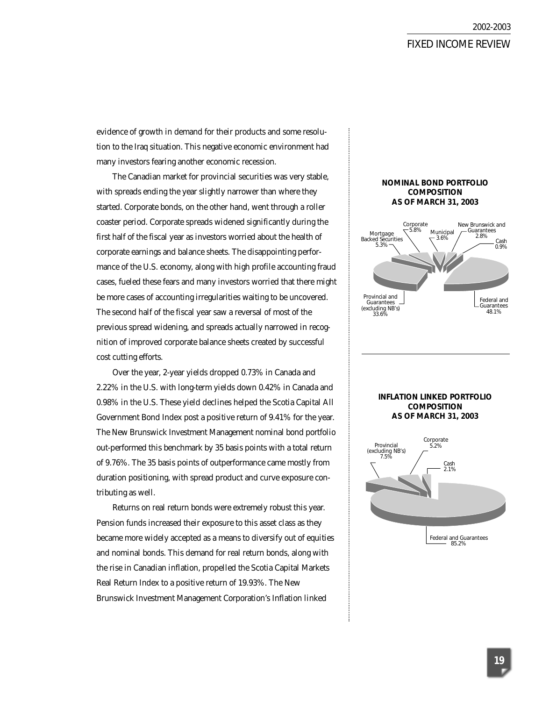### FIXED INCOME REVIEW

evidence of growth in demand for their products and some resolution to the Iraq situation. This negative economic environment had many investors fearing another economic recession.

The Canadian market for provincial securities was very stable, with spreads ending the year slightly narrower than where they started. Corporate bonds, on the other hand, went through a roller coaster period. Corporate spreads widened significantly during the first half of the fiscal year as investors worried about the health of corporate earnings and balance sheets. The disappointing performance of the U.S. economy, along with high profile accounting fraud cases, fueled these fears and many investors worried that there might be more cases of accounting irregularities waiting to be uncovered. The second half of the fiscal year saw a reversal of most of the previous spread widening, and spreads actually narrowed in recognition of improved corporate balance sheets created by successful cost cutting efforts.

Over the year, 2-year yields dropped 0.73% in Canada and 2.22% in the U.S. with long-term yields down 0.42% in Canada and 0.98% in the U.S. These yield declines helped the Scotia Capital All Government Bond Index post a positive return of 9.41% for the year. The New Brunswick Investment Management nominal bond portfolio out-performed this benchmark by 35 basis points with a total return of 9.76%. The 35 basis points of outperformance came mostly from duration positioning, with spread product and curve exposure contributing as well.

Returns on real return bonds were extremely robust this year. Pension funds increased their exposure to this asset class as they became more widely accepted as a means to diversify out of equities and nominal bonds. This demand for real return bonds, along with the rise in Canadian inflation, propelled the Scotia Capital Markets Real Return Index to a positive return of 19.93%. The New Brunswick Investment Management Corporation's Inflation linked

#### **NOMINAL BOND PORTFOLIO COMPOSITION AS OF MARCH 31, 2003**



#### **INFLATION LINKED PORTFOLIO COMPOSITION AS OF MARCH 31, 2003**

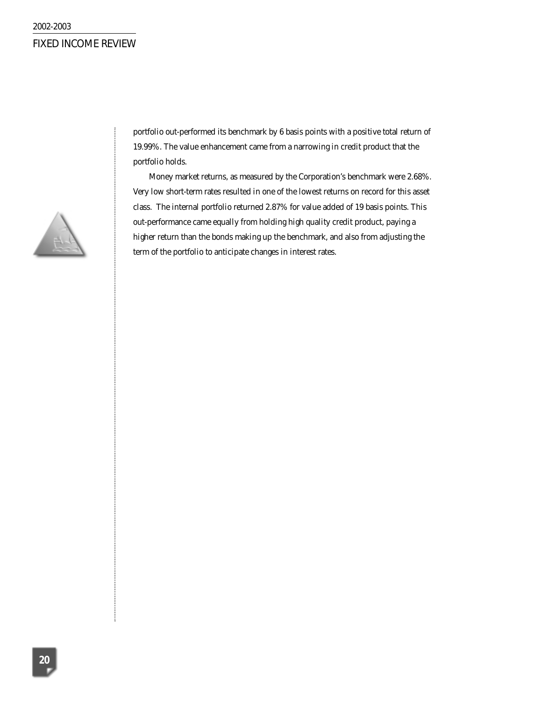

portfolio out-performed its benchmark by 6 basis points with a positive total return of 19.99%. The value enhancement came from a narrowing in credit product that the portfolio holds.

Money market returns, as measured by the Corporation's benchmark were 2.68%. Very low short-term rates resulted in one of the lowest returns on record for this asset class. The internal portfolio returned 2.87% for value added of 19 basis points. This out-performance came equally from holding high quality credit product, paying a higher return than the bonds making up the benchmark, and also from adjusting the term of the portfolio to anticipate changes in interest rates.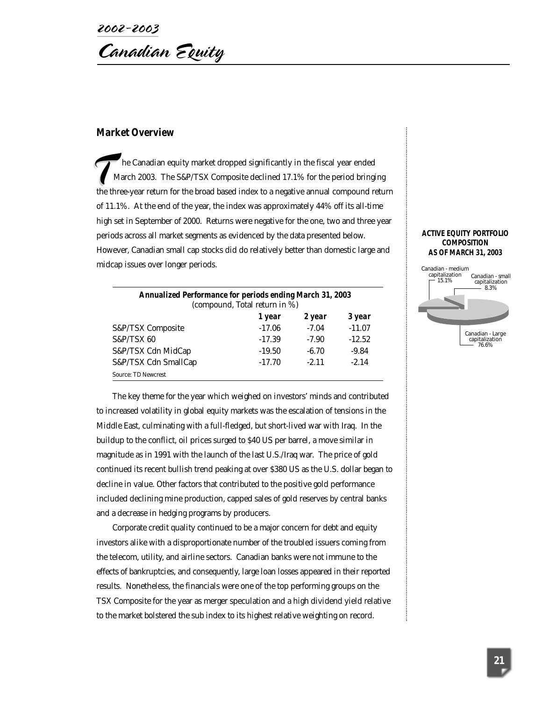2002-2003 Canadian Equity

### **Market Overview**

he Canadian equity market dropped significantly in the fiscal year ended March 2003. The S&P/TSX Composite declined 17.1% for the period bringing March 2003. The S&P/TSX Composite declined 17.1% for the period bringing<br>the three-year return for the broad based index to a negative annual compound return of 11.1%. At the end of the year, the index was approximately 44% off its all-time high set in September of 2000. Returns were negative for the one, two and three year periods across all market segments as evidenced by the data presented below. However, Canadian small cap stocks did do relatively better than domestic large and midcap issues over longer periods.

| <b>Annualized Performance for periods ending March 31, 2003</b><br>(compound, Total return in %) |          |         |          |
|--------------------------------------------------------------------------------------------------|----------|---------|----------|
|                                                                                                  | 1 year   | 2 year  | 3 year   |
| S&P/TSX Composite                                                                                | $-17.06$ | $-7.04$ | $-11.07$ |
| <b>S&amp;P/TSX 60</b>                                                                            | $-17.39$ | $-7.90$ | $-12.52$ |
| S&P/TSX Cdn MidCap                                                                               | $-19.50$ | $-6.70$ | $-9.84$  |
| S&P/TSX Cdn SmallCap                                                                             | $-17.70$ | $-2.11$ | $-2.14$  |
| <b>Source: TD Newcrest</b>                                                                       |          |         |          |

The key theme for the year which weighed on investors' minds and contributed to increased volatility in global equity markets was the escalation of tensions in the Middle East, culminating with a full-fledged, but short-lived war with Iraq. In the buildup to the conflict, oil prices surged to \$40 US per barrel, a move similar in magnitude as in 1991 with the launch of the last U.S./Iraq war. The price of gold continued its recent bullish trend peaking at over \$380 US as the U.S. dollar began to decline in value. Other factors that contributed to the positive gold performance included declining mine production, capped sales of gold reserves by central banks and a decrease in hedging programs by producers.

Corporate credit quality continued to be a major concern for debt and equity investors alike with a disproportionate number of the troubled issuers coming from the telecom, utility, and airline sectors. Canadian banks were not immune to the effects of bankruptcies, and consequently, large loan losses appeared in their reported results. Nonetheless, the financials were one of the top performing groups on the TSX Composite for the year as merger speculation and a high dividend yield relative to the market bolstered the sub index to its highest relative weighting on record.

#### **ACTIVE EQUITY PORTFOLIO COMPOSITION AS OF MARCH 31, 2003**

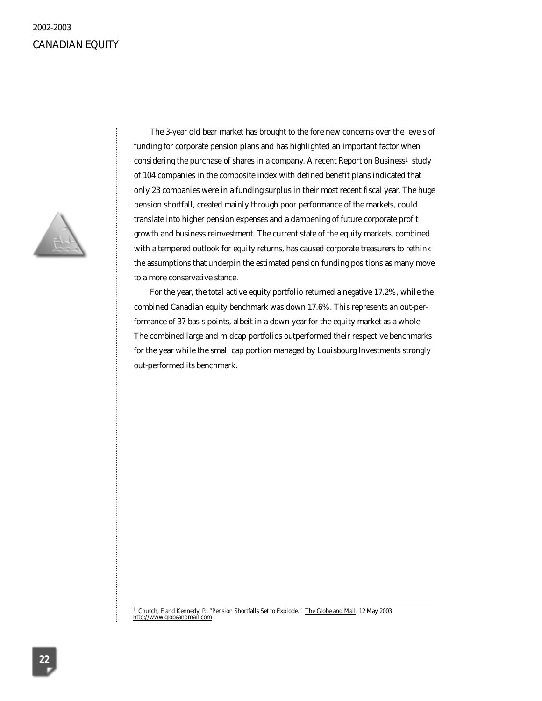# 2002-2003 CANADIAN EQUITY



The 3-year old bear market has brought to the fore new concerns over the levels of funding for corporate pension plans and has highlighted an important factor when considering the purchase of shares in a company. A recent *Report on Business<sup>1</sup>* study of 104 companies in the composite index with defined benefit plans indicated that only 23 companies were in a funding surplus in their most recent fiscal year. The huge pension shortfall, created mainly through poor performance of the markets, could translate into higher pension expenses and a dampening of future corporate profit growth and business reinvestment. The current state of the equity markets, combined with a tempered outlook for equity returns, has caused corporate treasurers to rethink the assumptions that underpin the estimated pension funding positions as many move to a more conservative stance.

For the year, the total active equity portfolio returned a negative 17.2%, while the combined Canadian equity benchmark was down 17.6%. This represents an out-performance of 37 basis points, albeit in a down year for the equity market as a whole. The combined large and midcap portfolios outperformed their respective benchmarks for the year while the small cap portion managed by Louisbourg Investments strongly out-performed its benchmark.

<sup>1</sup> Church, E and Kennedy, P., "Pension Shortfalls Set to Explode." <u>The Globe and Mail</u>. 12 May 2003<br><u>http://www.globeandmail.com</u>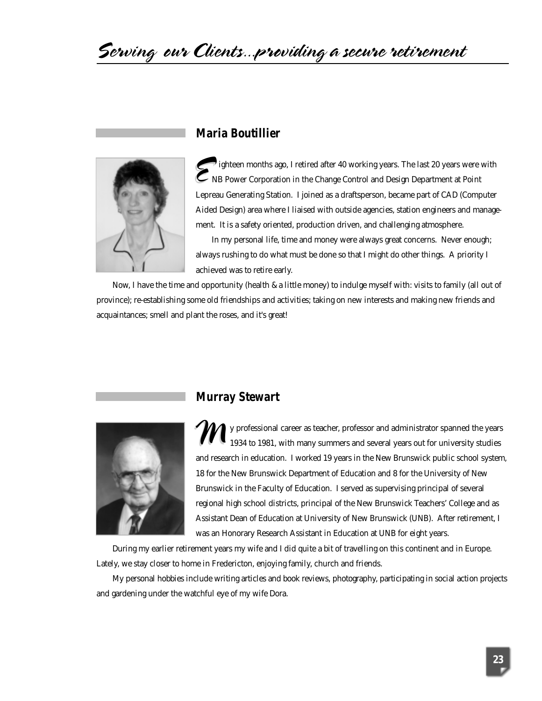# Serving our Clients...providing a secure retirement



# **Maria Boutillier**

ighteen months ago, I retired after 40 working years. The last 20 years were with NB Power Corporation in the Change Control and Design Department at Point Lepreau Generating Station. I joined as a draftsperson, became part of CAD (Computer Aided Design) area where I liaised with outside agencies, station engineers and management. It is a safety oriented, production driven, and challenging atmosphere.

In my personal life, time and money were always great concerns. Never enough; always rushing to do what must be done so that I might do other things. A priority I achieved was to retire early.

Now, I have the time and opportunity (health & a little money) to indulge myself with: visits to family (all out of province); re-establishing some old friendships and activities; taking on new interests and making new friends and acquaintances; smell and plant the roses, and it's great!



# **Murray Stewart**

y professional career as teacher, professor and administrator spanned the years 1934 to 1981, with many summers and several years out for university studies and research in education. I worked 19 years in the New Brunswick public school system, 18 for the New Brunswick Department of Education and 8 for the University of New Brunswick in the Faculty of Education. I served as supervising principal of several regional high school districts, principal of the New Brunswick Teachers' College and as Assistant Dean of Education at University of New Brunswick (UNB). After retirement, I was an Honorary Research Assistant in Education at UNB for eight years.  $\boldsymbol{\mathcal{M}}$ 

During my earlier retirement years my wife and I did quite a bit of travelling on this continent and in Europe. Lately, we stay closer to home in Fredericton, enjoying family, church and friends.

My personal hobbies include writing articles and book reviews, photography, participating in social action projects and gardening under the watchful eye of my wife Dora.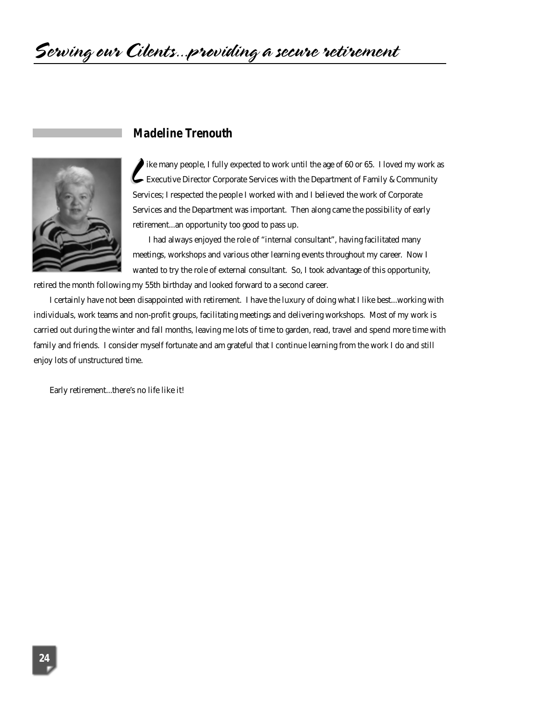# **Madeline Trenouth**



ike many people, I fully expected to work until the age of 60 or 65. I loved my work as Executive Director Corporate Services with the Department of Family & Community Services; I respected the people I worked with and I believed the work of Corporate Services and the Department was important. Then along came the possibility of early retirement...an opportunity too good to pass up.  $\epsilon$ 

I had always enjoyed the role of "internal consultant", having facilitated many meetings, workshops and various other learning events throughout my career. Now I wanted to try the role of external consultant. So, I took advantage of this opportunity,

retired the month following my 55th birthday and looked forward to a second career.

I certainly have not been disappointed with retirement. I have the luxury of doing what I like best...working with individuals, work teams and non-profit groups, facilitating meetings and delivering workshops. Most of my work is carried out during the winter and fall months, leaving me lots of time to garden, read, travel and spend more time with family and friends. I consider myself fortunate and am grateful that I continue learning from the work I do and still enjoy lots of unstructured time.

Early retirement...there's no life like it!